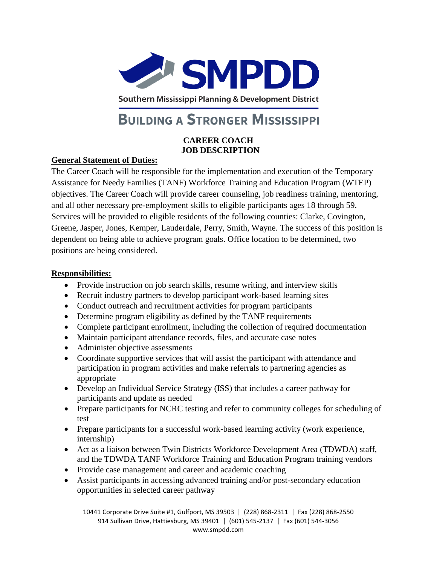

Southern Mississippi Planning & Development District

# **BUILDING A STRONGER MISSISSIPPI**

#### **CAREER COACH JOB DESCRIPTION**

### **General Statement of Duties:**

The Career Coach will be responsible for the implementation and execution of the Temporary Assistance for Needy Families (TANF) Workforce Training and Education Program (WTEP) objectives. The Career Coach will provide career counseling, job readiness training, mentoring, and all other necessary pre-employment skills to eligible participants ages 18 through 59. Services will be provided to eligible residents of the following counties: Clarke, Covington, Greene, Jasper, Jones, Kemper, Lauderdale, Perry, Smith, Wayne. The success of this position is dependent on being able to achieve program goals. Office location to be determined, two positions are being considered.

#### **Responsibilities:**

- Provide instruction on job search skills, resume writing, and interview skills
- Recruit industry partners to develop participant work-based learning sites
- Conduct outreach and recruitment activities for program participants
- Determine program eligibility as defined by the TANF requirements
- Complete participant enrollment, including the collection of required documentation
- Maintain participant attendance records, files, and accurate case notes
- Administer objective assessments
- Coordinate supportive services that will assist the participant with attendance and participation in program activities and make referrals to partnering agencies as appropriate
- Develop an Individual Service Strategy (ISS) that includes a career pathway for participants and update as needed
- Prepare participants for NCRC testing and refer to community colleges for scheduling of test
- Prepare participants for a successful work-based learning activity (work experience, internship)
- Act as a liaison between Twin Districts Workforce Development Area (TDWDA) staff, and the TDWDA TANF Workforce Training and Education Program training vendors
- Provide case management and career and academic coaching
- Assist participants in accessing advanced training and/or post-secondary education opportunities in selected career pathway